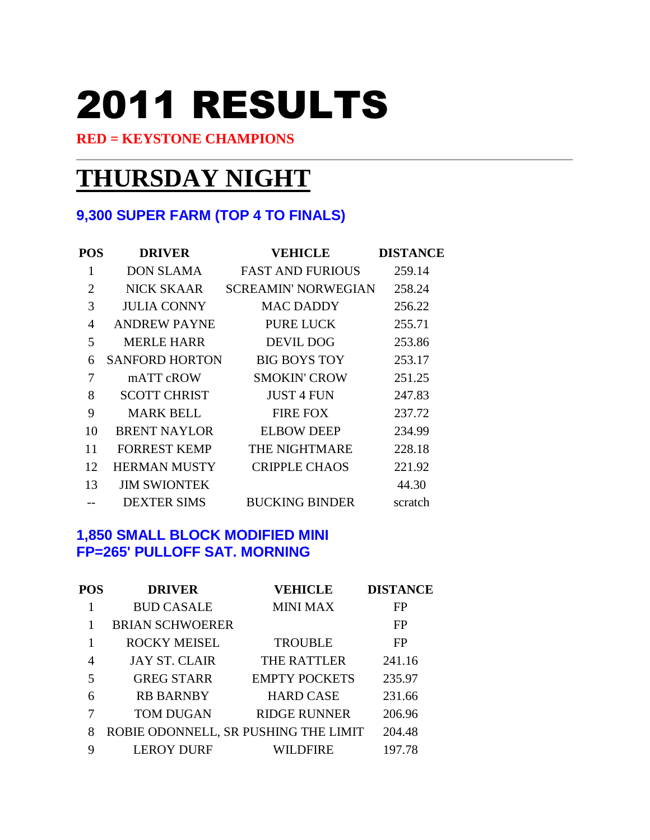# 2011 RESULTS

#### **RED = KEYSTONE CHAMPIONS**

# **THURSDAY NIGHT**

#### **9,300 SUPER FARM (TOP 4 TO FINALS)**

| POS            | <b>DRIVER</b>         | <b>VEHICLE</b>             | <b>DISTANCE</b> |
|----------------|-----------------------|----------------------------|-----------------|
| 1              | <b>DON SLAMA</b>      | <b>FAST AND FURIOUS</b>    | 259.14          |
| $\overline{2}$ | <b>NICK SKAAR</b>     | <b>SCREAMIN' NORWEGIAN</b> | 258.24          |
| 3              | <b>JULIA CONNY</b>    | <b>MAC DADDY</b>           | 256.22          |
| 4              | <b>ANDREW PAYNE</b>   | <b>PURE LUCK</b>           | 255.71          |
| 5              | <b>MERLE HARR</b>     | <b>DEVIL DOG</b>           | 253.86          |
| 6              | <b>SANFORD HORTON</b> | <b>BIG BOYS TOY</b>        | 253.17          |
| 7              | mATT cROW             | <b>SMOKIN' CROW</b>        | 251.25          |
| 8              | <b>SCOTT CHRIST</b>   | <b>JUST 4 FUN</b>          | 247.83          |
| 9              | <b>MARK BELL</b>      | <b>FIRE FOX</b>            | 237.72          |
| 10             | <b>BRENT NAYLOR</b>   | <b>ELBOW DEEP</b>          | 234.99          |
| 11             | <b>FORREST KEMP</b>   | THE NIGHTMARE              | 228.18          |
| 12             | <b>HERMAN MUSTY</b>   | <b>CRIPPLE CHAOS</b>       | 221.92          |
| 13             | <b>JIM SWIONTEK</b>   |                            | 44.30           |
|                | <b>DEXTER SIMS</b>    | <b>BUCKING BINDER</b>      | scratch         |

#### **1,850 SMALL BLOCK MODIFIED MINI FP=265' PULLOFF SAT. MORNING**

| POS | <b>DRIVER</b>                        | <b>VEHICLE</b>       | <b>DISTANCE</b> |
|-----|--------------------------------------|----------------------|-----------------|
|     | <b>BUD CASALE</b>                    | <b>MINI MAX</b>      | FP              |
|     | <b>BRIAN SCHWOERER</b>               |                      | FP              |
|     | <b>ROCKY MEISEL</b>                  | <b>TROUBLE</b>       | <b>FP</b>       |
| 4   | <b>JAY ST. CLAIR</b>                 | <b>THE RATTLER</b>   | 241.16          |
| 5   | <b>GREG STARR</b>                    | <b>EMPTY POCKETS</b> | 235.97          |
| 6   | <b>RB BARNBY</b>                     | <b>HARD CASE</b>     | 231.66          |
| 7   | <b>TOM DUGAN</b>                     | <b>RIDGE RUNNER</b>  | 206.96          |
| 8   | ROBIE ODONNELL, SR PUSHING THE LIMIT |                      | 204.48          |
| 9   | <b>LEROY DURF</b>                    | WILDFIRE             | 197.78          |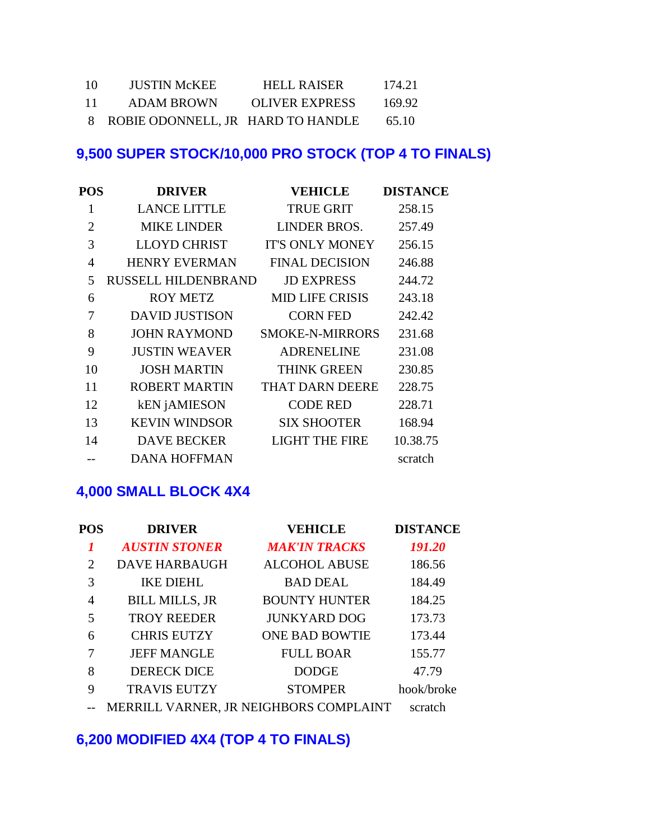| 10 | <b>JUSTIN McKEE</b>                 | <b>HELL RAISER</b>    | 174.21 |
|----|-------------------------------------|-----------------------|--------|
| 11 | <b>ADAM BROWN</b>                   | <b>OLIVER EXPRESS</b> | 169.92 |
|    | 8 ROBIE ODONNELL, JR HARD TO HANDLE |                       | 65.10  |

# **9,500 SUPER STOCK/10,000 PRO STOCK (TOP 4 TO FINALS)**

| <b>POS</b>     | <b>DRIVER</b>              | <b>VEHICLE</b>         | <b>DISTANCE</b> |
|----------------|----------------------------|------------------------|-----------------|
| 1              | <b>LANCE LITTLE</b>        | <b>TRUE GRIT</b>       | 258.15          |
| $\overline{2}$ | <b>MIKE LINDER</b>         | <b>LINDER BROS.</b>    | 257.49          |
| 3              | <b>LLOYD CHRIST</b>        | <b>IT'S ONLY MONEY</b> | 256.15          |
| $\overline{4}$ | <b>HENRY EVERMAN</b>       | <b>FINAL DECISION</b>  | 246.88          |
| 5              | <b>RUSSELL HILDENBRAND</b> | <b>JD EXPRESS</b>      | 244.72          |
| 6              | <b>ROY METZ</b>            | <b>MID LIFE CRISIS</b> | 243.18          |
| 7              | <b>DAVID JUSTISON</b>      | <b>CORN FED</b>        | 242.42          |
| 8              | <b>JOHN RAYMOND</b>        | <b>SMOKE-N-MIRRORS</b> | 231.68          |
| 9              | <b>JUSTIN WEAVER</b>       | <b>ADRENELINE</b>      | 231.08          |
| 10             | <b>JOSH MARTIN</b>         | <b>THINK GREEN</b>     | 230.85          |
| 11             | <b>ROBERT MARTIN</b>       | <b>THAT DARN DEERE</b> | 228.75          |
| 12             | <b>kEN</b> jAMIESON        | <b>CODE RED</b>        | 228.71          |
| 13             | <b>KEVIN WINDSOR</b>       | <b>SIX SHOOTER</b>     | 168.94          |
| 14             | <b>DAVE BECKER</b>         | <b>LIGHT THE FIRE</b>  | 10.38.75        |
|                | <b>DANA HOFFMAN</b>        |                        | scratch         |

#### **4,000 SMALL BLOCK 4X4**

| <b>POS</b>     | <b>DRIVER</b>         | <b>VEHICLE</b>                         | <b>DISTANCE</b> |
|----------------|-----------------------|----------------------------------------|-----------------|
|                | <b>AUSTIN STONER</b>  | <b>MAK'IN TRACKS</b>                   | 191.20          |
| $\overline{2}$ | <b>DAVE HARBAUGH</b>  | <b>ALCOHOL ABUSE</b>                   | 186.56          |
| 3              | <b>IKE DIEHL</b>      | <b>BAD DEAL</b>                        | 184.49          |
| 4              | <b>BILL MILLS, JR</b> | <b>BOUNTY HUNTER</b>                   | 184.25          |
| 5              | <b>TROY REEDER</b>    | <b>JUNKYARD DOG</b>                    | 173.73          |
| 6              | <b>CHRIS EUTZY</b>    | <b>ONE BAD BOWTIE</b>                  | 173.44          |
| 7              | <b>JEFF MANGLE</b>    | <b>FULL BOAR</b>                       | 155.77          |
| 8              | <b>DERECK DICE</b>    | <b>DODGE</b>                           | 47.79           |
| 9              | <b>TRAVIS EUTZY</b>   | <b>STOMPER</b>                         | hook/broke      |
|                |                       | MERRILL VARNER, JR NEIGHBORS COMPLAINT | scratch         |

### **6,200 MODIFIED 4X4 (TOP 4 TO FINALS)**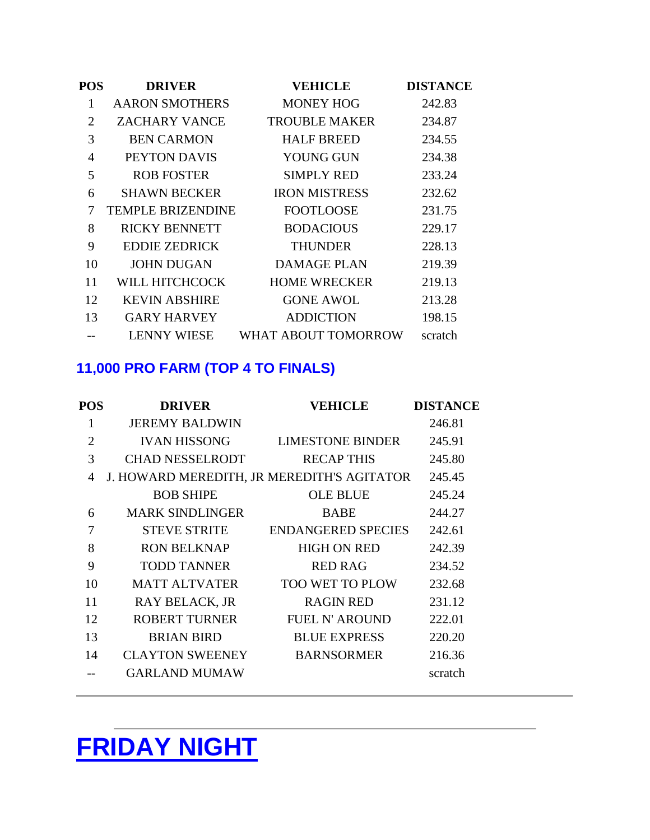| <b>POS</b> | <b>DRIVER</b>            | <b>VEHICLE</b>       | <b>DISTANCE</b> |
|------------|--------------------------|----------------------|-----------------|
| 1          | <b>AARON SMOTHERS</b>    | <b>MONEY HOG</b>     | 242.83          |
| 2          | <b>ZACHARY VANCE</b>     | <b>TROUBLE MAKER</b> | 234.87          |
| 3          | <b>BEN CARMON</b>        | <b>HALF BREED</b>    | 234.55          |
| 4          | PEYTON DAVIS             | <b>YOUNG GUN</b>     | 234.38          |
| 5          | <b>ROB FOSTER</b>        | <b>SIMPLY RED</b>    | 233.24          |
| 6          | <b>SHAWN BECKER</b>      | <b>IRON MISTRESS</b> | 232.62          |
| 7          | <b>TEMPLE BRIZENDINE</b> | <b>FOOTLOOSE</b>     | 231.75          |
| 8          | <b>RICKY BENNETT</b>     | <b>BODACIOUS</b>     | 229.17          |
| 9          | <b>EDDIE ZEDRICK</b>     | THUNDER              | 228.13          |
| 10         | <b>JOHN DUGAN</b>        | <b>DAMAGE PLAN</b>   | 219.39          |
| 11         | WILL HITCHCOCK           | <b>HOME WRECKER</b>  | 219.13          |
| 12         | <b>KEVIN ABSHIRE</b>     | <b>GONE AWOL</b>     | 213.28          |
| 13         | <b>GARY HARVEY</b>       | <b>ADDICTION</b>     | 198.15          |
|            | <b>LENNY WIESE</b>       | WHAT ABOUT TOMORROW  | scratch         |

# **11,000 PRO FARM (TOP 4 TO FINALS)**

| POS            | <b>DRIVER</b>          | <b>VEHICLE</b>                             | <b>DISTANCE</b> |
|----------------|------------------------|--------------------------------------------|-----------------|
| 1              | <b>JEREMY BALDWIN</b>  |                                            | 246.81          |
| $\overline{2}$ | <b>IVAN HISSONG</b>    | <b>LIMESTONE BINDER</b>                    | 245.91          |
| 3              | <b>CHAD NESSELRODT</b> | <b>RECAP THIS</b>                          | 245.80          |
| 4              |                        | J. HOWARD MEREDITH, JR MEREDITH'S AGITATOR | 245.45          |
|                | <b>BOB SHIPE</b>       | <b>OLE BLUE</b>                            | 245.24          |
| 6              | <b>MARK SINDLINGER</b> | <b>BABE</b>                                | 244.27          |
| 7              | <b>STEVE STRITE</b>    | <b>ENDANGERED SPECIES</b>                  | 242.61          |
| 8              | <b>RON BELKNAP</b>     | <b>HIGH ON RED</b>                         | 242.39          |
| 9              | <b>TODD TANNER</b>     | <b>RED RAG</b>                             | 234.52          |
| 10             | <b>MATT ALTVATER</b>   | <b>TOO WET TO PLOW</b>                     | 232.68          |
| 11             | <b>RAY BELACK, JR</b>  | <b>RAGIN RED</b>                           | 231.12          |
| 12             | <b>ROBERT TURNER</b>   | <b>FUEL N' AROUND</b>                      | 222.01          |
| 13             | <b>BRIAN BIRD</b>      | <b>BLUE EXPRESS</b>                        | 220.20          |
| 14             | <b>CLAYTON SWEENEY</b> | <b>BARNSORMER</b>                          | 216.36          |
|                | <b>GARLAND MUMAW</b>   |                                            | scratch         |
|                |                        |                                            |                 |

# **FRIDAY NIGHT**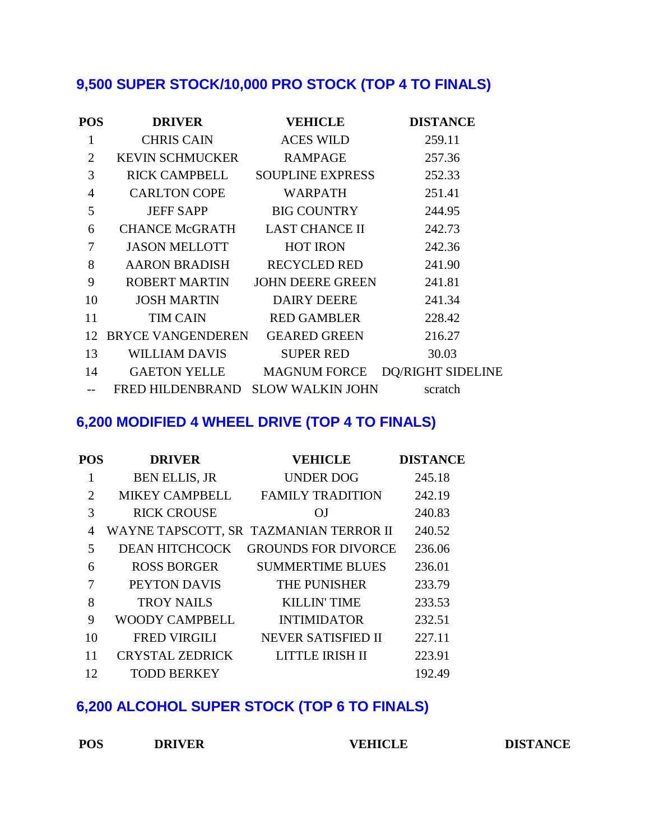# **9,500 SUPER STOCK/10,000 PRO STOCK (TOP 4 TO FINALS)**

| POS            | <b>DRIVER</b>                     | <b>VEHICLE</b>      | <b>DISTANCE</b>          |
|----------------|-----------------------------------|---------------------|--------------------------|
|                | <b>CHRIS CAIN</b>                 | <b>ACES WILD</b>    | 259.11                   |
| $\overline{2}$ | KEVIN SCHMUCKER                   | RAMPAGE             | 257.36                   |
| 3              | <b>RICK CAMPBELL</b>              | SOUPLINE EXPRESS    | 252.33                   |
| $\overline{4}$ | <b>CARLTON COPE</b>               | <b>WARPATH</b>      | 251.41                   |
| 5              | <b>JEFF SAPP</b>                  | BIG COUNTRY         | 244.95                   |
| 6              | CHANCE McGRATH LAST CHANCE II     |                     | 242.73                   |
| 7              | <b>JASON MELLOTT</b>              | <b>HOT IRON</b>     | 242.36                   |
| 8              | AARON BRADISH                     | <b>RECYCLED RED</b> | 241.90                   |
| 9              | ROBERT MARTIN                     | JOHN DEERE GREEN    | 241.81                   |
| 10             | JOSH MARTIN                       | DAIRY DEERE         | 241.34                   |
| 11             | <b>TIM CAIN</b>                   | RED GAMBLER         | 228.42                   |
| 12             | BRYCE VANGENDEREN                 | <b>GEARED GREEN</b> | 216.27                   |
| 13             | <b>WILLIAM DAVIS</b>              | SUPER RED           | 30.03                    |
| 14             | GAETON YELLE MAGNUM FORCE         |                     | <b>DQ/RIGHT SIDELINE</b> |
|                | FRED HILDENBRAND SLOW WALKIN JOHN |                     | scratch                  |

#### **6,200 MODIFIED 4 WHEEL DRIVE (TOP 4 TO FINALS)**

| <b>POS</b> | <b>DRIVER</b>          | <b>VEHICLE</b>                         | <b>DISTANCE</b> |
|------------|------------------------|----------------------------------------|-----------------|
| 1          | <b>BEN ELLIS, JR</b>   | <b>UNDER DOG</b>                       | 245.18          |
| 2          | <b>MIKEY CAMPBELL</b>  | <b>FAMILY TRADITION</b>                | 242.19          |
| 3          | <b>RICK CROUSE</b>     | OJ.                                    | 240.83          |
| 4          |                        | WAYNE TAPSCOTT, SR TAZMANIAN TERROR II | 240.52          |
| 5          | <b>DEAN HITCHCOCK</b>  | <b>GROUNDS FOR DIVORCE</b>             | 236.06          |
| 6          | <b>ROSS BORGER</b>     | <b>SUMMERTIME BLUES</b>                | 236.01          |
| 7          | PEYTON DAVIS           | THE PUNISHER                           | 233.79          |
| 8          | <b>TROY NAILS</b>      | <b>KILLIN' TIME</b>                    | 233.53          |
| 9          | WOODY CAMPBELL         | <b>INTIMIDATOR</b>                     | 232.51          |
| 10         | <b>FRED VIRGILI</b>    | <b>NEVER SATISFIED II</b>              | 227.11          |
| 11         | <b>CRYSTAL ZEDRICK</b> | LITTLE IRISH II                        | 223.91          |
| 12         | <b>TODD BERKEY</b>     |                                        | 192.49          |

### **6,200 ALCOHOL SUPER STOCK (TOP 6 TO FINALS)**

| <b>POS</b> | <b>DRIVER</b> | <b>VEHICLE</b> |
|------------|---------------|----------------|
|            |               |                |

 $\overline{D}$  **DISTANCE**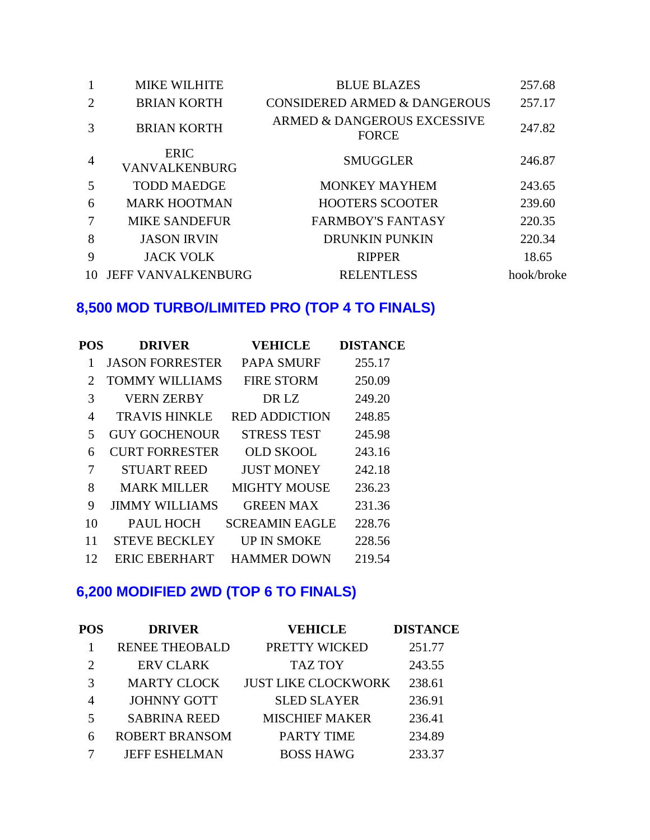| 1              | <b>MIKE WILHITE</b>          | <b>BLUE BLAZES</b>                          | 257.68     |
|----------------|------------------------------|---------------------------------------------|------------|
| 2              | <b>BRIAN KORTH</b>           | <b>CONSIDERED ARMED &amp; DANGEROUS</b>     | 257.17     |
| 3              | <b>BRIAN KORTH</b>           | ARMED & DANGEROUS EXCESSIVE<br><b>FORCE</b> | 247.82     |
| $\overline{4}$ | <b>ERIC</b><br>VANVALKENBURG | <b>SMUGGLER</b>                             | 246.87     |
| 5              | <b>TODD MAEDGE</b>           | <b>MONKEY MAYHEM</b>                        | 243.65     |
| 6              | <b>MARK HOOTMAN</b>          | <b>HOOTERS SCOOTER</b>                      | 239.60     |
| 7              | <b>MIKE SANDEFUR</b>         | <b>FARMBOY'S FANTASY</b>                    | 220.35     |
| 8              | <b>JASON IRVIN</b>           | <b>DRUNKIN PUNKIN</b>                       | 220.34     |
| 9              | <b>JACK VOLK</b>             | <b>RIPPER</b>                               | 18.65      |
| 10             | <b>JEFF VANVALKENBURG</b>    | <b>RELENTLESS</b>                           | hook/broke |

# **8,500 MOD TURBO/LIMITED PRO (TOP 4 TO FINALS)**

| POS | <b>DRIVER</b>          | <b>VEHICLE</b>        | <b>DISTANCE</b> |
|-----|------------------------|-----------------------|-----------------|
|     | <b>JASON FORRESTER</b> | <b>PAPA SMURF</b>     | 255.17          |
| 2   | <b>TOMMY WILLIAMS</b>  | <b>FIRE STORM</b>     | 250.09          |
| 3   | <b>VERN ZERBY</b>      | DR LZ                 | 249.20          |
| 4   | <b>TRAVIS HINKLE</b>   | <b>RED ADDICTION</b>  | 248.85          |
| 5   | <b>GUY GOCHENOUR</b>   | <b>STRESS TEST</b>    | 245.98          |
| 6   | <b>CURT FORRESTER</b>  | <b>OLD SKOOL</b>      | 243.16          |
| 7   | <b>STUART REED</b>     | <b>JUST MONEY</b>     | 242.18          |
| 8   | <b>MARK MILLER</b>     | <b>MIGHTY MOUSE</b>   | 236.23          |
| 9   | <b>JIMMY WILLIAMS</b>  | <b>GREEN MAX</b>      | 231.36          |
| 10  | PAUL HOCH              | <b>SCREAMIN EAGLE</b> | 228.76          |
| 11  | <b>STEVE BECKLEY</b>   | <b>UP IN SMOKE</b>    | 228.56          |
| 12  | <b>ERIC EBERHART</b>   | <b>HAMMER DOWN</b>    | 219.54          |

# **6,200 MODIFIED 2WD (TOP 6 TO FINALS)**

| <b>POS</b>     | <b>DRIVER</b>         | <b>VEHICLE</b>             | <b>DISTANCE</b> |
|----------------|-----------------------|----------------------------|-----------------|
|                | <b>RENEE THEOBALD</b> | PRETTY WICKED              | 251.77          |
| $\overline{2}$ | <b>ERV CLARK</b>      | <b>TAZ TOY</b>             | 243.55          |
| 3              | <b>MARTY CLOCK</b>    | <b>JUST LIKE CLOCKWORK</b> | 238.61          |
|                | <b>JOHNNY GOTT</b>    | <b>SLED SLAYER</b>         | 236.91          |
| 5              | <b>SABRINA REED</b>   | <b>MISCHIEF MAKER</b>      | 236.41          |
| 6              | <b>ROBERT BRANSOM</b> | <b>PARTY TIME</b>          | 234.89          |
|                | <b>JEFF ESHELMAN</b>  | <b>BOSS HAWG</b>           | 233.37          |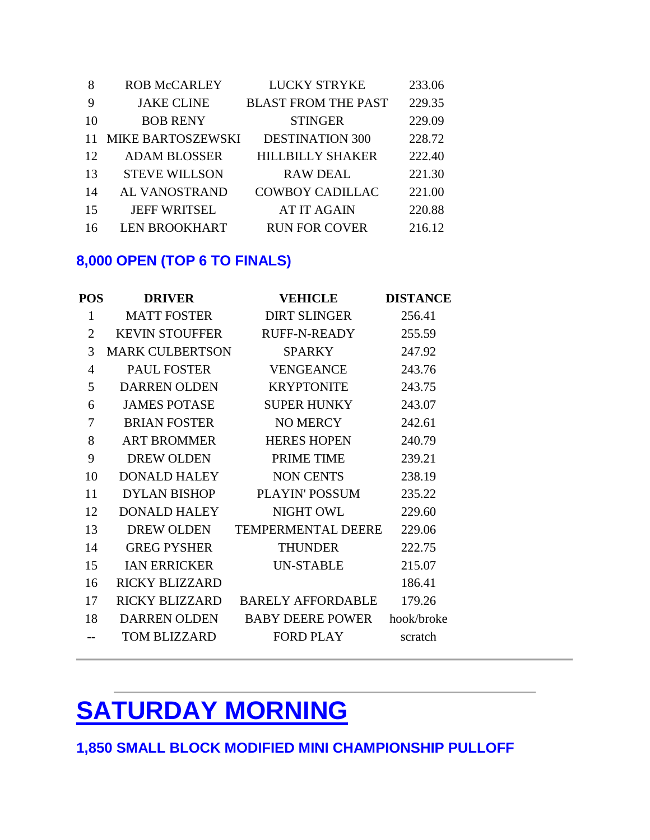| -8 | <b>ROB McCARLEY</b>  | <b>LUCKY STRYKE</b>        | 233.06 |
|----|----------------------|----------------------------|--------|
| -9 | <b>JAKE CLINE</b>    | <b>BLAST FROM THE PAST</b> | 229.35 |
| 10 | <b>BOB RENY</b>      | <b>STINGER</b>             | 229.09 |
| 11 | MIKE BARTOSZEWSKI    | <b>DESTINATION 300</b>     | 228.72 |
| 12 | <b>ADAM BLOSSER</b>  | <b>HILLBILLY SHAKER</b>    | 222.40 |
| 13 | <b>STEVE WILLSON</b> | <b>RAW DEAL</b>            | 221.30 |
| 14 | AL VANOSTRAND        | <b>COWBOY CADILLAC</b>     | 221.00 |
| 15 | <b>JEFF WRITSEL</b>  | <b>AT IT AGAIN</b>         | 220.88 |
| 16 | <b>LEN BROOKHART</b> | <b>RUN FOR COVER</b>       | 216.12 |

### **8,000 OPEN (TOP 6 TO FINALS)**

| <b>POS</b>     | <b>DRIVER</b>          | <b>VEHICLE</b>            | <b>DISTANCE</b> |
|----------------|------------------------|---------------------------|-----------------|
| $\mathbf{1}$   | <b>MATT FOSTER</b>     | <b>DIRT SLINGER</b>       | 256.41          |
| $\overline{2}$ | <b>KEVIN STOUFFER</b>  | <b>RUFF-N-READY</b>       | 255.59          |
| 3              | <b>MARK CULBERTSON</b> | <b>SPARKY</b>             | 247.92          |
| 4              | <b>PAUL FOSTER</b>     | <b>VENGEANCE</b>          | 243.76          |
| 5              | <b>DARREN OLDEN</b>    | <b>KRYPTONITE</b>         | 243.75          |
| 6              | <b>JAMES POTASE</b>    | <b>SUPER HUNKY</b>        | 243.07          |
| 7              | <b>BRIAN FOSTER</b>    | <b>NO MERCY</b>           | 242.61          |
| 8              | <b>ART BROMMER</b>     | <b>HERES HOPEN</b>        | 240.79          |
| 9              | <b>DREW OLDEN</b>      | PRIME TIME                | 239.21          |
| 10             | <b>DONALD HALEY</b>    | <b>NON CENTS</b>          | 238.19          |
| 11             | DYLAN BISHOP           | <b>PLAYIN' POSSUM</b>     | 235.22          |
| 12             | <b>DONALD HALEY</b>    | <b>NIGHT OWL</b>          | 229.60          |
| 13             | <b>DREW OLDEN</b>      | <b>TEMPERMENTAL DEERE</b> | 229.06          |
| 14             | <b>GREG PYSHER</b>     | <b>THUNDER</b>            | 222.75          |
| 15             | <b>IAN ERRICKER</b>    | <b>UN-STABLE</b>          | 215.07          |
| 16             | <b>RICKY BLIZZARD</b>  |                           | 186.41          |
| 17             | <b>RICKY BLIZZARD</b>  | <b>BARELY AFFORDABLE</b>  | 179.26          |
| 18             | <b>DARREN OLDEN</b>    | <b>BABY DEERE POWER</b>   | hook/broke      |
|                | TOM BLIZZARD           | FORD PLAY                 | scratch         |

# **SATURDAY MORNING**

**1,850 SMALL BLOCK MODIFIED MINI CHAMPIONSHIP PULLOFF**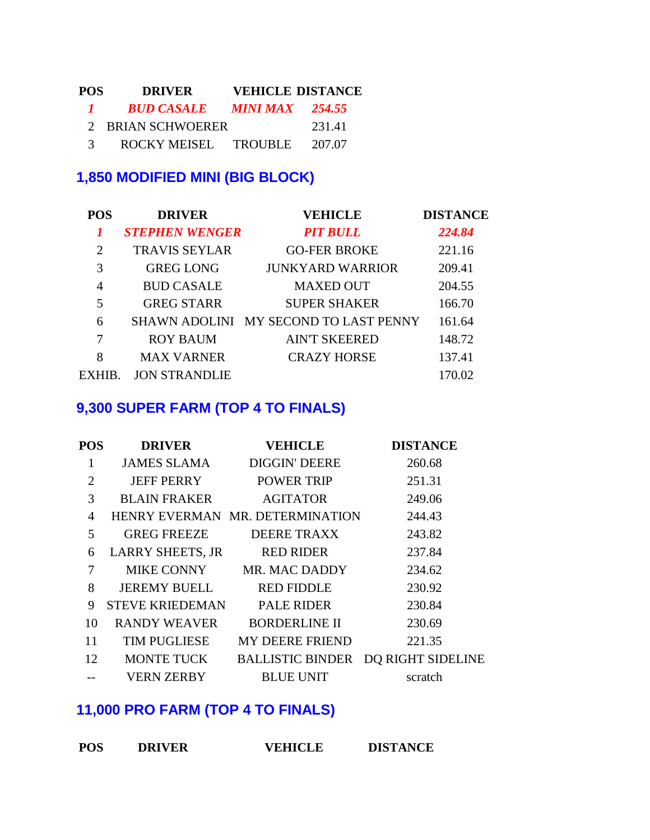| POS.          | <b>DRIVER</b>        |                        | <b>VEHICLE DISTANCE</b> |
|---------------|----------------------|------------------------|-------------------------|
| $\mathbf{I}$  | <b>BUD CASALE</b>    | <b>MINI MAX</b> 254.55 |                         |
|               | 2 BRIAN SCHWOERER    |                        | 231.41                  |
| $\mathcal{R}$ | ROCKY MEISEL TROUBLE |                        | 207.07                  |

### **1,850 MODIFIED MINI (BIG BLOCK)**

| <b>POS</b>     | <b>DRIVER</b>         | <b>VEHICLE</b>                        | <b>DISTANCE</b> |
|----------------|-----------------------|---------------------------------------|-----------------|
|                | <b>STEPHEN WENGER</b> | <b>PIT BULL</b>                       | 224.84          |
| $\overline{2}$ | <b>TRAVIS SEYLAR</b>  | <b>GO-FER BROKE</b>                   | 221.16          |
| 3              | <b>GREG LONG</b>      | <b>JUNKYARD WARRIOR</b>               | 209.41          |
| 4              | <b>BUD CASALE</b>     | <b>MAXED OUT</b>                      | 204.55          |
| 5              | <b>GREG STARR</b>     | <b>SUPER SHAKER</b>                   | 166.70          |
| 6              |                       | SHAWN ADOLINI MY SECOND TO LAST PENNY | 161.64          |
| 7              | <b>ROY BAUM</b>       | <b>AIN'T SKEERED</b>                  | 148.72          |
| 8              | <b>MAX VARNER</b>     | <b>CRAZY HORSE</b>                    | 137.41          |
| EXHIB          | <b>JON STRANDLIE</b>  |                                       | 170.02          |

### **9,300 SUPER FARM (TOP 4 TO FINALS)**

| POS            | <b>DRIVER</b>           | <b>VEHICLE</b>                     | <b>DISTANCE</b> |
|----------------|-------------------------|------------------------------------|-----------------|
| 1              |                         | JAMES SLAMA DIGGIN' DEERE          | 260.68          |
| $\overline{2}$ | JEFF PERRY              | <b>POWER TRIP</b>                  | 251.31          |
| 3              | <b>BLAIN FRAKER</b>     | <b>AGITATOR</b>                    | 249.06          |
| $\overline{4}$ |                         | HENRY EVERMAN MR. DETERMINATION    | 244.43          |
| 5              | <b>GREG FREEZE</b>      | <b>DEERE TRAXX</b>                 | 243.82          |
| 6              | <b>LARRY SHEETS, JR</b> | <b>RED RIDER</b>                   | 237.84          |
| 7              | MIKE CONNY              | MR. MAC DADDY                      | 234.62          |
| 8              | JEREMY BUELL            | RED FIDDLE                         | 230.92          |
| 9              | <b>STEVE KRIEDEMAN</b>  | <b>PALE RIDER</b>                  | 230.84          |
| 10             | <b>RANDY WEAVER</b>     | <b>BORDERLINE II</b>               | 230.69          |
| 11             | <b>TIM PUGLIESE</b>     | MY DEERE FRIEND                    | 221.35          |
| 12             | MONTE TUCK              | BALLISTIC BINDER DQ RIGHT SIDELINE |                 |
|                | VERN ZERBY              | <b>BLUE UNIT</b>                   | scratch         |

# **11,000 PRO FARM (TOP 4 TO FINALS)**

| <b>POS</b> | <b>DRIVER</b> | <b>VEHICLE</b> | <b>DISTANCE</b> |
|------------|---------------|----------------|-----------------|
|            |               |                |                 |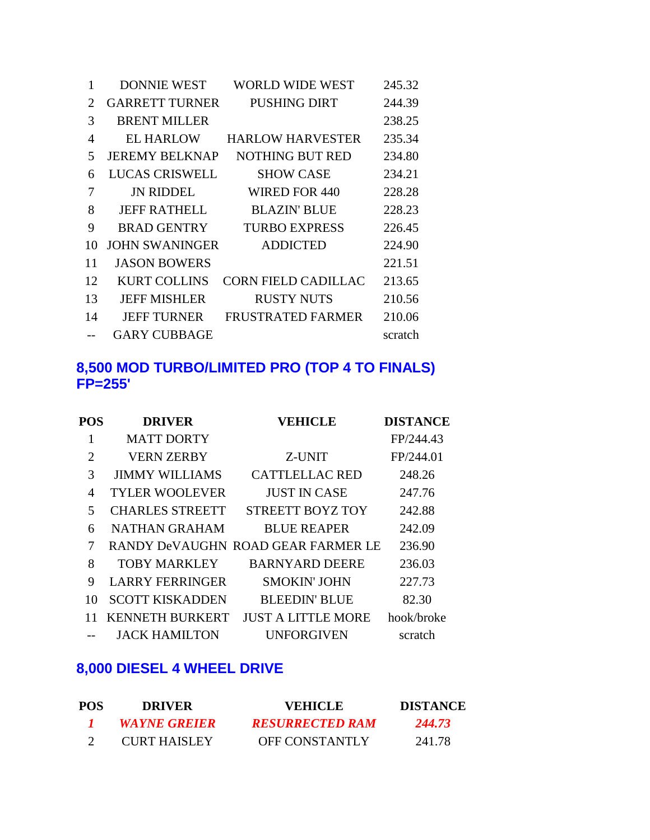| 1  | <b>DONNIE WEST</b>    | WORLD WIDE WEST            | 245.32  |
|----|-----------------------|----------------------------|---------|
| 2  | <b>GARRETT TURNER</b> | <b>PUSHING DIRT</b>        | 244.39  |
| 3  | <b>BRENT MILLER</b>   |                            | 238.25  |
| 4  | <b>EL HARLOW</b>      | <b>HARLOW HARVESTER</b>    | 235.34  |
| 5  | <b>JEREMY BELKNAP</b> | NOTHING BUT RED            | 234.80  |
| 6  | <b>LUCAS CRISWELL</b> | <b>SHOW CASE</b>           | 234.21  |
| 7  | <b>JN RIDDEL</b>      | WIRED FOR 440              | 228.28  |
| 8  | <b>JEFF RATHELL</b>   | <b>BLAZIN' BLUE</b>        | 228.23  |
| 9  | <b>BRAD GENTRY</b>    | <b>TURBO EXPRESS</b>       | 226.45  |
| 10 | JOHN SWANINGER        | <b>ADDICTED</b>            | 224.90  |
| 11 | <b>JASON BOWERS</b>   |                            | 221.51  |
| 12 | <b>KURT COLLINS</b>   | <b>CORN FIELD CADILLAC</b> | 213.65  |
| 13 | <b>JEFF MISHLER</b>   | <b>RUSTY NUTS</b>          | 210.56  |
| 14 | <b>JEFF TURNER</b>    | <b>FRUSTRATED FARMER</b>   | 210.06  |
|    | <b>GARY CUBBAGE</b>   |                            | scratch |

#### **8,500 MOD TURBO/LIMITED PRO (TOP 4 TO FINALS) FP=255'**

| POS | <b>DRIVER</b>          | <b>VEHICLE</b>                     | <b>DISTANCE</b> |
|-----|------------------------|------------------------------------|-----------------|
|     | <b>MATT DORTY</b>      |                                    | FP/244.43       |
| 2   | <b>VERN ZERBY</b>      | Z-UNIT                             | FP/244.01       |
| 3   | <b>JIMMY WILLIAMS</b>  | <b>CATTLELLAC RED</b>              | 248.26          |
| 4   | <b>TYLER WOOLEVER</b>  | JUST IN CASE                       | 247.76          |
| 5   | <b>CHARLES STREETT</b> | STREETT BOYZ TOY                   | 242.88          |
| 6   | <b>NATHAN GRAHAM</b>   | <b>BLUE REAPER</b>                 | 242.09          |
| 7   |                        | RANDY DeVAUGHN ROAD GEAR FARMER LE | 236.90          |
| 8   | <b>TOBY MARKLEY</b>    | <b>BARNYARD DEERE</b>              | 236.03          |
| 9   | <b>LARRY FERRINGER</b> | <b>SMOKIN' JOHN</b>                | 227.73          |
| 10  | <b>SCOTT KISKADDEN</b> | <b>BLEEDIN' BLUE</b>               | 82.30           |
|     | <b>KENNETH BURKERT</b> | <b>JUST A LITTLE MORE</b>          | hook/broke      |
|     | <b>JACK HAMILTON</b>   | <b>UNFORGIVEN</b>                  | scratch         |
|     |                        |                                    |                 |

### **8,000 DIESEL 4 WHEEL DRIVE**

| POS. | <b>DRIVER</b>       | <b>VEHICLE</b>         | <b>DISTANCE</b> |
|------|---------------------|------------------------|-----------------|
|      | <b>WAYNE GREIER</b> | <b>RESURRECTED RAM</b> | 244.73          |
|      | <b>CURT HAISLEY</b> | <b>OFF CONSTANTLY</b>  | 241.78          |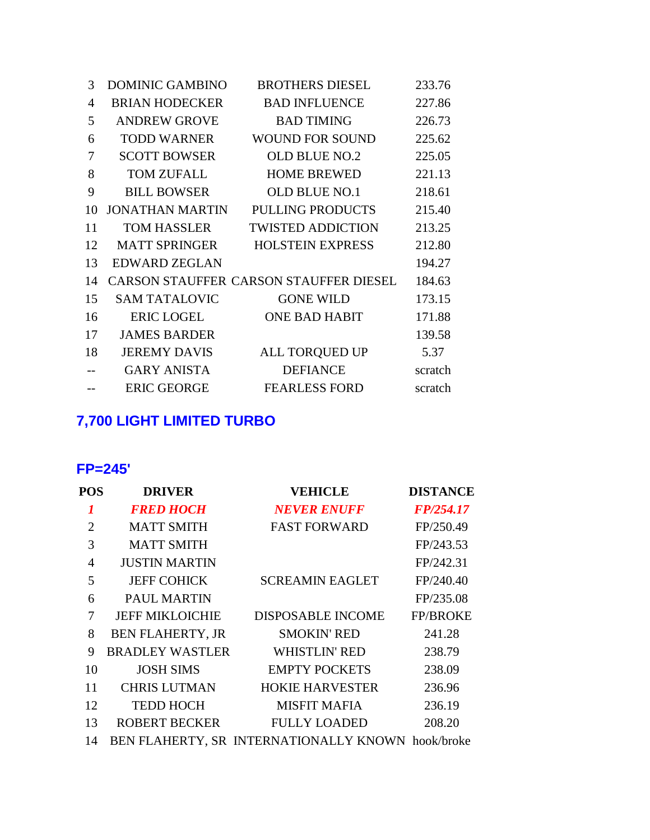| 3  | <b>DOMINIC GAMBINO</b> | <b>BROTHERS DIESEL</b>                 | 233.76  |
|----|------------------------|----------------------------------------|---------|
| 4  | <b>BRIAN HODECKER</b>  | <b>BAD INFLUENCE</b>                   | 227.86  |
| 5  | <b>ANDREW GROVE</b>    | <b>BAD TIMING</b>                      | 226.73  |
| 6  | <b>TODD WARNER</b>     | <b>WOUND FOR SOUND</b>                 | 225.62  |
| 7  | <b>SCOTT BOWSER</b>    | <b>OLD BLUE NO.2</b>                   | 225.05  |
| 8  | <b>TOM ZUFALL</b>      | <b>HOME BREWED</b>                     | 221.13  |
| 9  | <b>BILL BOWSER</b>     | <b>OLD BLUE NO.1</b>                   | 218.61  |
| 10 | <b>JONATHAN MARTIN</b> | <b>PULLING PRODUCTS</b>                | 215.40  |
| 11 | <b>TOM HASSLER</b>     | <b>TWISTED ADDICTION</b>               | 213.25  |
| 12 | <b>MATT SPRINGER</b>   | <b>HOLSTEIN EXPRESS</b>                | 212.80  |
| 13 | <b>EDWARD ZEGLAN</b>   |                                        | 194.27  |
| 14 |                        | CARSON STAUFFER CARSON STAUFFER DIESEL | 184.63  |
| 15 | <b>SAM TATALOVIC</b>   | <b>GONE WILD</b>                       | 173.15  |
| 16 | <b>ERIC LOGEL</b>      | <b>ONE BAD HABIT</b>                   | 171.88  |
| 17 | <b>JAMES BARDER</b>    |                                        | 139.58  |
| 18 | <b>JEREMY DAVIS</b>    | ALL TORQUED UP                         | 5.37    |
|    | <b>GARY ANISTA</b>     | <b>DEFIANCE</b>                        | scratch |
|    | <b>ERIC GEORGE</b>     | <b>FEARLESS FORD</b>                   | scratch |

# **7,700 LIGHT LIMITED TURBO**

#### **FP=245'**

| POS | <b>DRIVER</b>           | <b>VEHICLE</b>                                    | <b>DISTANCE</b> |
|-----|-------------------------|---------------------------------------------------|-----------------|
|     | <b>FRED HOCH</b>        | <b>NEVER ENUFF</b>                                | FP/254.17       |
| 2   | <b>MATT SMITH</b>       | <b>FAST FORWARD</b>                               | FP/250.49       |
| 3   | <b>MATT SMITH</b>       |                                                   | FP/243.53       |
| 4   | <b>JUSTIN MARTIN</b>    |                                                   | FP/242.31       |
| 5   | <b>JEFF COHICK</b>      | <b>SCREAMIN EAGLET</b>                            | FP/240.40       |
| 6   | <b>PAUL MARTIN</b>      |                                                   | FP/235.08       |
| 7   | <b>JEFF MIKLOICHIE</b>  | <b>DISPOSABLE INCOME</b>                          | <b>FP/BROKE</b> |
| 8   | <b>BEN FLAHERTY, JR</b> | <b>SMOKIN' RED</b>                                | 241.28          |
| 9   | <b>BRADLEY WASTLER</b>  | <b>WHISTLIN' RED</b>                              | 238.79          |
| 10  | <b>JOSH SIMS</b>        | <b>EMPTY POCKETS</b>                              | 238.09          |
| 11  | <b>CHRIS LUTMAN</b>     | <b>HOKIE HARVESTER</b>                            | 236.96          |
| 12  | <b>TEDD HOCH</b>        | <b>MISFIT MAFIA</b>                               | 236.19          |
| 13  | <b>ROBERT BECKER</b>    | <b>FULLY LOADED</b>                               | 208.20          |
| 14  |                         | BEN FLAHERTY, SR INTERNATIONALLY KNOWN hook/broke |                 |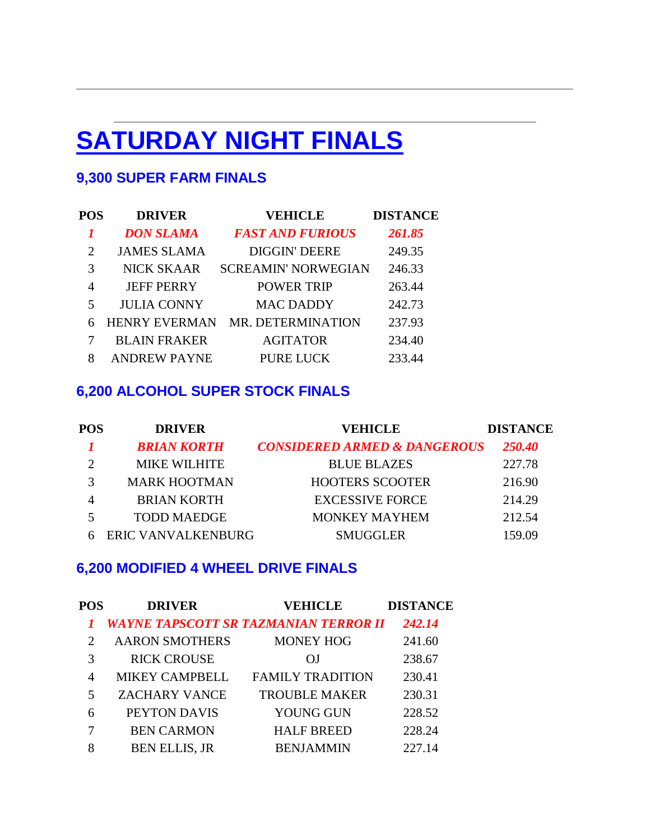# **SATURDAY NIGHT FINALS**

### **9,300 SUPER FARM FINALS**

| POS            | <b>DRIVER</b>        | <b>VEHICLE</b>             | <b>DISTANCE</b> |
|----------------|----------------------|----------------------------|-----------------|
|                | <b>DON SLAMA</b>     | <b>FAST AND FURIOUS</b>    | 261.85          |
| $\overline{2}$ | <b>JAMES SLAMA</b>   | <b>DIGGIN' DEERE</b>       | 249.35          |
| 3              | <b>NICK SKAAR</b>    | <b>SCREAMIN' NORWEGIAN</b> | 246.33          |
| $\overline{4}$ | <b>JEFF PERRY</b>    | <b>POWER TRIP</b>          | 263.44          |
| 5              | <b>JULIA CONNY</b>   | <b>MAC DADDY</b>           | 242.73          |
| 6              | <b>HENRY EVERMAN</b> | MR. DETERMINATION          | 237.93          |
|                | <b>BLAIN FRAKER</b>  | <b>AGITATOR</b>            | 234.40          |
| 8              | <b>ANDREW PAYNE</b>  | <b>PURE LUCK</b>           | 233.44          |

#### **6,200 ALCOHOL SUPER STOCK FINALS**

| POS | <b>DRIVER</b>       | <b>VEHICLE</b>                          | <b>DISTANCE</b> |
|-----|---------------------|-----------------------------------------|-----------------|
|     | <b>BRIAN KORTH</b>  | <b>CONSIDERED ARMED &amp; DANGEROUS</b> | 250.40          |
|     | <b>MIKE WILHITE</b> | <b>BLUE BLAZES</b>                      | 227.78          |
|     | <b>MARK HOOTMAN</b> | <b>HOOTERS SCOOTER</b>                  | 216.90          |
|     | <b>BRIAN KORTH</b>  | <b>EXCESSIVE FORCE</b>                  | 214.29          |
|     | <b>TODD MAEDGE</b>  | <b>MONKEY MAYHEM</b>                    | 212.54          |
|     | ERIC VANVALKENBURG  | <b>SMUGGLER</b>                         | 159.09          |

#### **6,200 MODIFIED 4 WHEEL DRIVE FINALS**

| POS                         | <b>DRIVER</b>         | <b>VEHICLE</b>                               | <b>DISTANCE</b> |
|-----------------------------|-----------------------|----------------------------------------------|-----------------|
|                             |                       | <b>WAYNE TAPSCOTT SR TAZMANIAN TERROR II</b> | 242.14          |
| $\mathcal{D}_{\mathcal{L}}$ | <b>AARON SMOTHERS</b> | <b>MONEY HOG</b>                             | 241.60          |
| 3                           | <b>RICK CROUSE</b>    | ΩI                                           | 238.67          |
| 4                           | <b>MIKEY CAMPBELL</b> | <b>FAMILY TRADITION</b>                      | 230.41          |
| 5                           | <b>ZACHARY VANCE</b>  | <b>TROUBLE MAKER</b>                         | 230.31          |
| 6                           | PEYTON DAVIS          | YOUNG GUN                                    | 228.52          |
|                             | <b>BEN CARMON</b>     | <b>HALF BREED</b>                            | 228.24          |
| 8                           | <b>BEN ELLIS, JR</b>  | <b>BENJAMMIN</b>                             | 227.14          |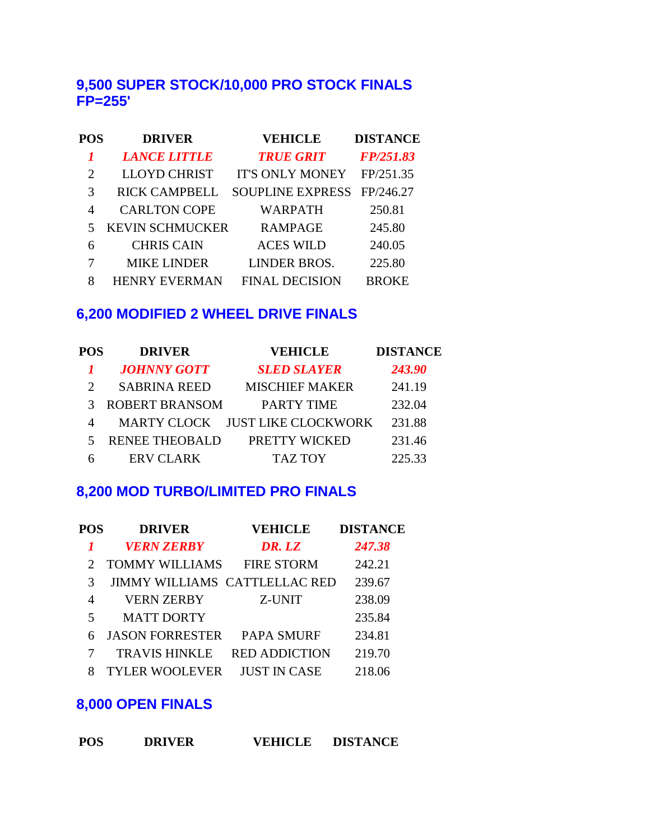#### **9,500 SUPER STOCK/10,000 PRO STOCK FINALS FP=255'**

| <b>POS</b> | <b>DRIVER</b>          | <b>VEHICLE</b>          | <b>DISTANCE</b> |
|------------|------------------------|-------------------------|-----------------|
|            | <b>LANCE LITTLE</b>    | <b>TRUE GRIT</b>        | FP/251.83       |
| 2          | <b>LLOYD CHRIST</b>    | <b>IT'S ONLY MONEY</b>  | FP/251.35       |
| 3          | <b>RICK CAMPBELL</b>   | <b>SOUPLINE EXPRESS</b> | FP/246.27       |
| 4          | <b>CARLTON COPE</b>    | WARPATH                 | 250.81          |
| 5          | <b>KEVIN SCHMUCKER</b> | <b>RAMPAGE</b>          | 245.80          |
| 6          | <b>CHRIS CAIN</b>      | <b>ACES WILD</b>        | 240.05          |
|            | <b>MIKE LINDER</b>     | LINDER BROS.            | 225.80          |
| 8          | <b>HENRY EVERMAN</b>   | <b>FINAL DECISION</b>   | <b>BROKE</b>    |

#### **6,200 MODIFIED 2 WHEEL DRIVE FINALS**

| <b>POS</b> | <b>DRIVER</b>         | <b>VEHICLE</b>                  | <b>DISTANCE</b> |
|------------|-----------------------|---------------------------------|-----------------|
|            | <b>JOHNNY GOTT</b>    | <b>SLED SLAYER</b>              | 243.90          |
|            | <b>SABRINA REED</b>   | <b>MISCHIEF MAKER</b>           | 241.19          |
|            | <b>ROBERT BRANSOM</b> | <b>PARTY TIME</b>               | 232.04          |
|            |                       | MARTY CLOCK JUST LIKE CLOCKWORK | 231.88          |
| 5.         | <b>RENEE THEOBALD</b> | PRETTY WICKED                   | 231.46          |
| h          | <b>ERV CLARK</b>      | <b>TAZ TOY</b>                  | 225.33          |

#### **8,200 MOD TURBO/LIMITED PRO FINALS**

| POS | <b>DRIVER</b>                        | <b>VEHICLE</b>       | <b>DISTANCE</b> |
|-----|--------------------------------------|----------------------|-----------------|
|     | <b>VERN ZERBY</b>                    | DR. LZ               | 247.38          |
|     | <b>TOMMY WILLIAMS</b>                | <b>FIRE STORM</b>    | 242.21          |
| 3   | <b>JIMMY WILLIAMS CATTLELLAC RED</b> |                      | 239.67          |
| 4   | <b>VERN ZERBY</b>                    | Z-UNIT               | 238.09          |
| 5   | <b>MATT DORTY</b>                    |                      | 235.84          |
| 6   | <b>JASON FORRESTER</b>               | <b>PAPA SMURF</b>    | 234.81          |
|     | <b>TRAVIS HINKLE</b>                 | <b>RED ADDICTION</b> | 219.70          |
|     | <b>TYLER WOOLEVER</b>                | <b>JUST IN CASE</b>  | 218.06          |

# **8,000 OPEN FINALS**

| <b>POS</b> | <b>DRIVER</b> | <b>VEHICLE</b> | <b>DISTANCE</b> |
|------------|---------------|----------------|-----------------|
|            |               |                |                 |